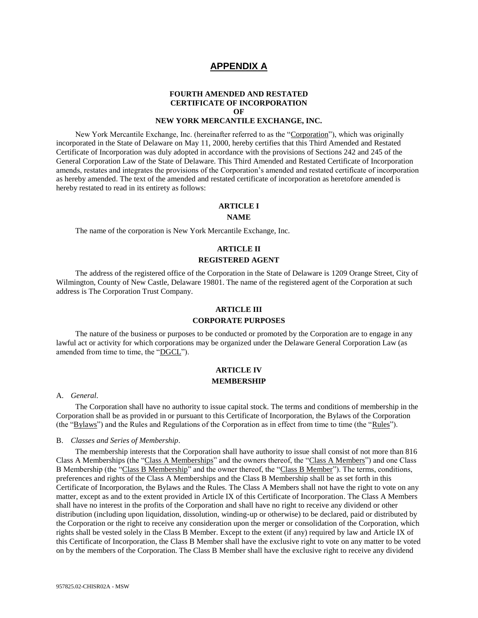# **APPENDIX A**

# **FOURTH AMENDED AND RESTATED CERTIFICATE OF INCORPORATION OF NEW YORK MERCANTILE EXCHANGE, INC.**

New York Mercantile Exchange, Inc. (hereinafter referred to as the "Corporation"), which was originally incorporated in the State of Delaware on May 11, 2000, hereby certifies that this Third Amended and Restated Certificate of Incorporation was duly adopted in accordance with the provisions of Sections 242 and 245 of the General Corporation Law of the State of Delaware. This Third Amended and Restated Certificate of Incorporation amends, restates and integrates the provisions of the Corporation's amended and restated certificate of incorporation as hereby amended. The text of the amended and restated certificate of incorporation as heretofore amended is hereby restated to read in its entirety as follows:

# **ARTICLE I**

#### **NAME**

The name of the corporation is New York Mercantile Exchange, Inc.

# **ARTICLE II**

### **REGISTERED AGENT**

The address of the registered office of the Corporation in the State of Delaware is 1209 Orange Street, City of Wilmington, County of New Castle, Delaware 19801. The name of the registered agent of the Corporation at such address is The Corporation Trust Company.

## **ARTICLE III**

#### **CORPORATE PURPOSES**

The nature of the business or purposes to be conducted or promoted by the Corporation are to engage in any lawful act or activity for which corporations may be organized under the Delaware General Corporation Law (as amended from time to time, the "DGCL").

# **ARTICLE IV MEMBERSHIP**

#### A. *General*.

The Corporation shall have no authority to issue capital stock. The terms and conditions of membership in the Corporation shall be as provided in or pursuant to this Certificate of Incorporation, the Bylaws of the Corporation (the "Bylaws") and the Rules and Regulations of the Corporation as in effect from time to time (the "Rules").

#### B. *Classes and Series of Membership*.

The membership interests that the Corporation shall have authority to issue shall consist of not more than 816 Class A Memberships (the "Class A Memberships" and the owners thereof, the "Class A Members") and one Class B Membership (the "Class B Membership" and the owner thereof, the "Class B Member"). The terms, conditions, preferences and rights of the Class A Memberships and the Class B Membership shall be as set forth in this Certificate of Incorporation, the Bylaws and the Rules. The Class A Members shall not have the right to vote on any matter, except as and to the extent provided in Article IX of this Certificate of Incorporation. The Class A Members shall have no interest in the profits of the Corporation and shall have no right to receive any dividend or other distribution (including upon liquidation, dissolution, winding-up or otherwise) to be declared, paid or distributed by the Corporation or the right to receive any consideration upon the merger or consolidation of the Corporation, which rights shall be vested solely in the Class B Member. Except to the extent (if any) required by law and Article IX of this Certificate of Incorporation, the Class B Member shall have the exclusive right to vote on any matter to be voted on by the members of the Corporation. The Class B Member shall have the exclusive right to receive any dividend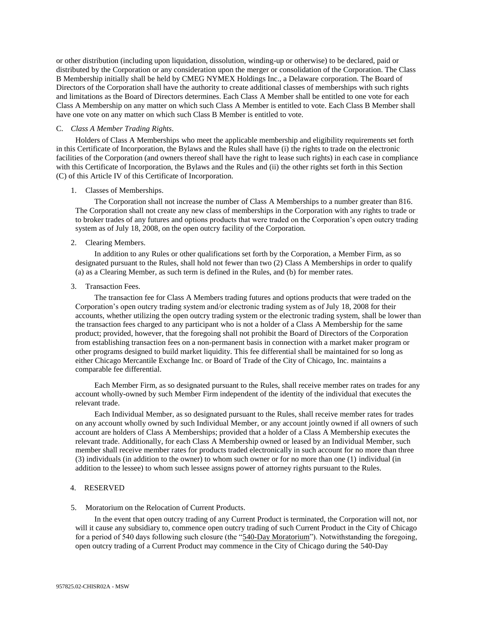or other distribution (including upon liquidation, dissolution, winding-up or otherwise) to be declared, paid or distributed by the Corporation or any consideration upon the merger or consolidation of the Corporation. The Class B Membership initially shall be held by CMEG NYMEX Holdings Inc., a Delaware corporation. The Board of Directors of the Corporation shall have the authority to create additional classes of memberships with such rights and limitations as the Board of Directors determines. Each Class A Member shall be entitled to one vote for each Class A Membership on any matter on which such Class A Member is entitled to vote. Each Class B Member shall have one vote on any matter on which such Class B Member is entitled to vote.

#### C. *Class A Member Trading Rights*.

Holders of Class A Memberships who meet the applicable membership and eligibility requirements set forth in this Certificate of Incorporation, the Bylaws and the Rules shall have (i) the rights to trade on the electronic facilities of the Corporation (and owners thereof shall have the right to lease such rights) in each case in compliance with this Certificate of Incorporation, the Bylaws and the Rules and (ii) the other rights set forth in this Section (C) of this Article IV of this Certificate of Incorporation.

#### 1. Classes of Memberships.

The Corporation shall not increase the number of Class A Memberships to a number greater than 816. The Corporation shall not create any new class of memberships in the Corporation with any rights to trade or to broker trades of any futures and options products that were traded on the Corporation's open outcry trading system as of July 18, 2008, on the open outcry facility of the Corporation.

#### 2. Clearing Members.

In addition to any Rules or other qualifications set forth by the Corporation, a Member Firm, as so designated pursuant to the Rules, shall hold not fewer than two (2) Class A Memberships in order to qualify (a) as a Clearing Member, as such term is defined in the Rules, and (b) for member rates.

#### 3. Transaction Fees.

The transaction fee for Class A Members trading futures and options products that were traded on the Corporation's open outcry trading system and/or electronic trading system as of July 18, 2008 for their accounts, whether utilizing the open outcry trading system or the electronic trading system, shall be lower than the transaction fees charged to any participant who is not a holder of a Class A Membership for the same product; provided, however, that the foregoing shall not prohibit the Board of Directors of the Corporation from establishing transaction fees on a non-permanent basis in connection with a market maker program or other programs designed to build market liquidity. This fee differential shall be maintained for so long as either Chicago Mercantile Exchange Inc. or Board of Trade of the City of Chicago, Inc. maintains a comparable fee differential.

Each Member Firm, as so designated pursuant to the Rules, shall receive member rates on trades for any account wholly-owned by such Member Firm independent of the identity of the individual that executes the relevant trade.

Each Individual Member, as so designated pursuant to the Rules, shall receive member rates for trades on any account wholly owned by such Individual Member, or any account jointly owned if all owners of such account are holders of Class A Memberships; provided that a holder of a Class A Membership executes the relevant trade. Additionally, for each Class A Membership owned or leased by an Individual Member, such member shall receive member rates for products traded electronically in such account for no more than three (3) individuals (in addition to the owner) to whom such owner or for no more than one (1) individual (in addition to the lessee) to whom such lessee assigns power of attorney rights pursuant to the Rules.

#### 4. RESERVED

#### 5. Moratorium on the Relocation of Current Products.

In the event that open outcry trading of any Current Product is terminated, the Corporation will not, nor will it cause any subsidiary to, commence open outcry trading of such Current Product in the City of Chicago for a period of 540 days following such closure (the "540-Day Moratorium"). Notwithstanding the foregoing, open outcry trading of a Current Product may commence in the City of Chicago during the 540-Day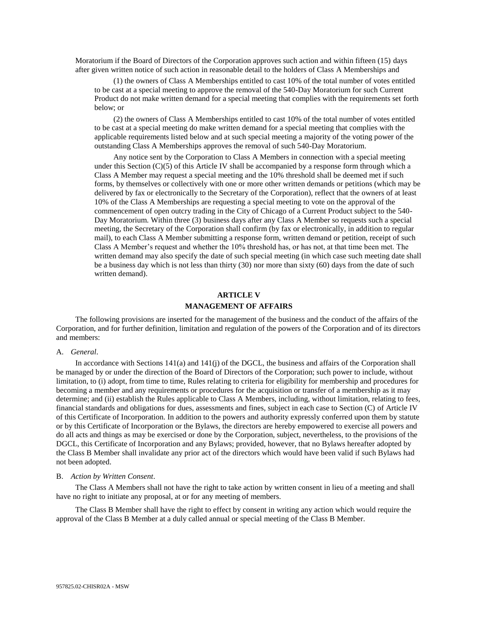Moratorium if the Board of Directors of the Corporation approves such action and within fifteen (15) days after given written notice of such action in reasonable detail to the holders of Class A Memberships and

(1) the owners of Class A Memberships entitled to cast 10% of the total number of votes entitled to be cast at a special meeting to approve the removal of the 540-Day Moratorium for such Current Product do not make written demand for a special meeting that complies with the requirements set forth below; or

(2) the owners of Class A Memberships entitled to cast 10% of the total number of votes entitled to be cast at a special meeting do make written demand for a special meeting that complies with the applicable requirements listed below and at such special meeting a majority of the voting power of the outstanding Class A Memberships approves the removal of such 540-Day Moratorium.

Any notice sent by the Corporation to Class A Members in connection with a special meeting under this Section (C)(5) of this Article IV shall be accompanied by a response form through which a Class A Member may request a special meeting and the 10% threshold shall be deemed met if such forms, by themselves or collectively with one or more other written demands or petitions (which may be delivered by fax or electronically to the Secretary of the Corporation), reflect that the owners of at least 10% of the Class A Memberships are requesting a special meeting to vote on the approval of the commencement of open outcry trading in the City of Chicago of a Current Product subject to the 540- Day Moratorium. Within three (3) business days after any Class A Member so requests such a special meeting, the Secretary of the Corporation shall confirm (by fax or electronically, in addition to regular mail), to each Class A Member submitting a response form, written demand or petition, receipt of such Class A Member's request and whether the 10% threshold has, or has not, at that time been met. The written demand may also specify the date of such special meeting (in which case such meeting date shall be a business day which is not less than thirty (30) nor more than sixty (60) days from the date of such written demand).

# **ARTICLE V MANAGEMENT OF AFFAIRS**

The following provisions are inserted for the management of the business and the conduct of the affairs of the Corporation, and for further definition, limitation and regulation of the powers of the Corporation and of its directors and members:

#### A. *General*.

In accordance with Sections 141(a) and 141(j) of the DGCL, the business and affairs of the Corporation shall be managed by or under the direction of the Board of Directors of the Corporation; such power to include, without limitation, to (i) adopt, from time to time, Rules relating to criteria for eligibility for membership and procedures for becoming a member and any requirements or procedures for the acquisition or transfer of a membership as it may determine; and (ii) establish the Rules applicable to Class A Members, including, without limitation, relating to fees, financial standards and obligations for dues, assessments and fines, subject in each case to Section (C) of Article IV of this Certificate of Incorporation. In addition to the powers and authority expressly conferred upon them by statute or by this Certificate of Incorporation or the Bylaws, the directors are hereby empowered to exercise all powers and do all acts and things as may be exercised or done by the Corporation, subject, nevertheless, to the provisions of the DGCL, this Certificate of Incorporation and any Bylaws; provided, however, that no Bylaws hereafter adopted by the Class B Member shall invalidate any prior act of the directors which would have been valid if such Bylaws had not been adopted.

## B. *Action by Written Consent*.

The Class A Members shall not have the right to take action by written consent in lieu of a meeting and shall have no right to initiate any proposal, at or for any meeting of members.

The Class B Member shall have the right to effect by consent in writing any action which would require the approval of the Class B Member at a duly called annual or special meeting of the Class B Member.